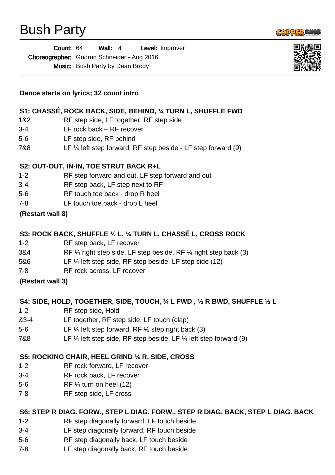

| Count: 64                                  |                                        | Wall: $4$ |  |  | <b>Level:</b> Improver |
|--------------------------------------------|----------------------------------------|-----------|--|--|------------------------|
| Choreographer: Gudrun Schneider - Aug 2016 |                                        |           |  |  |                        |
|                                            | <b>Music:</b> Bush Party by Dean Brody |           |  |  |                        |



#### **S1: CHASSÉ, ROCK BACK, SIDE, BEHIND, ¼ TURN L, SHUFFLE FWD**

- 1&2 RF step side, LF together, RF step side
- 3-4 LF rock back RF recover
- 5-6 LF step side, RF behind
- 7&8 LF ¼ left step forward, RF step beside LF step forward (9)

#### **S2: OUT-OUT, IN-IN, TOE STRUT BACK R+L**

- 1-2 RF step forward and out, LF step forward and out
- 3-4 RF step back, LF step next to RF
- 5-6 RF touch toe back drop R heel
- 7-8 LF touch toe back drop L heel

#### **(Restart wall 8)**

## **S3: ROCK BACK, SHUFFLE ½ L, ¼ TURN L, CHASSÉ L, CROSS ROCK**

- 1-2 RF step back, LF recover
- 3&4 RF ¼ right step side, LF step beside, RF ¼ right step back (3)
- 5&6 LF ¼ left step side, RF step beside, LF step side (12)
- 7-8 RF rock across, LF recover

## **(Restart wall 3)**

#### **S4: SIDE, HOLD, TOGETHER, SIDE, TOUCH, ¼ L FWD , ½ R BWD, SHUFFLE ½ L**

- 1-2 RF step side, Hold
- &3-4 LF together, RF step side, LF touch (clap)
- 5-6 LF ¼ left step forward, RF ½ step right back (3)
- 7&8 LF ¼ left step side, RF step beside, LF ¼ left step forward (9)

## **S5: ROCKING CHAIR, HEEL GRIND ¼ R, SIDE, CROSS**

- 1-2 RF rock forward, LF recover
- 3-4 RF rock back, LF recover
- 5-6 RF ¼ turn on heel (12)
- 7-8 RF step side, LF cross

## **S6: STEP R DIAG. FORW., STEP L DIAG. FORW., STEP R DIAG. BACK, STEP L DIAG. BACK**

- 1-2 RF step diagonally forward, LF touch beside
- 3-4 LF step diagonally forward, RF touch beside
- 5-6 RF step diagonally back, LF touch beside
- 7-8 LF step diagonally back, RF touch beside